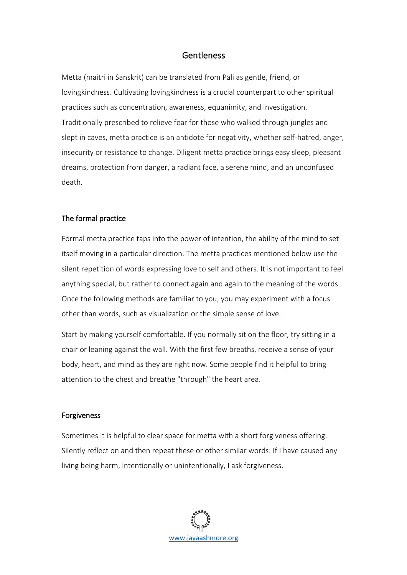# **Gentleness**

Metta (maitri in Sanskrit) can be translated from Pali as gentle, friend, or lovingkindness. Cultivating lovingkindness is a crucial counterpart to other spiritual practices such as concentration, awareness, equanimity, and investigation. Traditionally prescribed to relieve fear for those who walked through jungles and slept in caves, metta practice is an antidote for negativity, whether self-hatred, anger, insecurity or resistance to change. Diligent metta practice brings easy sleep, pleasant dreams, protection from danger, a radiant face, a serene mind, and an unconfused death.

### The formal practice

Formal metta practice taps into the power of intention, the ability of the mind to set itself moving in a particular direction. The metta practices mentioned below use the silent repetition of words expressing love to self and others. It is not important to feel anything special, but rather to connect again and again to the meaning of the words. Once the following methods are familiar to you, you may experiment with a focus other than words, such as visualization or the simple sense of love.

Start by making yourself comfortable. If you normally sit on the floor, try sitting in a chair or leaning against the wall. With the first few breaths, receive a sense of your body, heart, and mind as they are right now. Some people find it helpful to bring attention to the chest and breathe "through" the heart area.

#### Forgiveness

Sometimes it is helpful to clear space for metta with a short forgiveness offering. Silently reflect on and then repeat these or other similar words: If I have caused any living being harm, intentionally or unintentionally, I ask forgiveness.

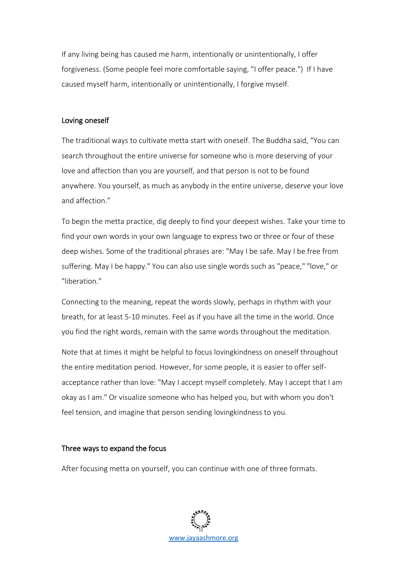If any living being has caused me harm, intentionally or unintentionally, I offer forgiveness. (Some people feel more comfortable saying, "I offer peace.") If I have caused myself harm, intentionally or unintentionally, I forgive myself.

## Loving oneself

The traditional ways to cultivate metta start with oneself. The Buddha said, "You can search throughout the entire universe for someone who is more deserving of your love and affection than you are yourself, and that person is not to be found anywhere. You yourself, as much as anybody in the entire universe, deserve your love and affection."

To begin the metta practice, dig deeply to find your deepest wishes. Take your time to find your own words in your own language to express two or three or four of these deep wishes. Some of the traditional phrases are: "May I be safe. May I be free from suffering. May I be happy." You can also use single words such as "peace," "love," or "liberation."

Connecting to the meaning, repeat the words slowly, perhaps in rhythm with your breath, for at least 5-10 minutes. Feel as if you have all the time in the world. Once you find the right words, remain with the same words throughout the meditation.

Note that at times it might be helpful to focus lovingkindness on oneself throughout the entire meditation period. However, for some people, it is easier to offer selfacceptance rather than love: "May I accept myself completely. May I accept that I am okay as I am." Or visualize someone who has helped you, but with whom you don't feel tension, and imagine that person sending lovingkindness to you.

### Three ways to expand the focus

After focusing metta on yourself, you can continue with one of three formats.

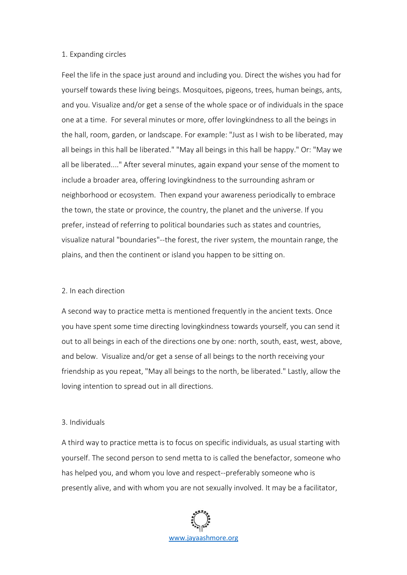### 1. Expanding circles

Feel the life in the space just around and including you. Direct the wishes you had for yourself towards these living beings. Mosquitoes, pigeons, trees, human beings, ants, and you. Visualize and/or get a sense of the whole space or of individuals in the space one at a time. For several minutes or more, offer lovingkindness to all the beings in the hall, room, garden, or landscape. For example: "Just as I wish to be liberated, may all beings in this hall be liberated." "May all beings in this hall be happy." Or: "May we all be liberated...." After several minutes, again expand your sense of the moment to include a broader area, offering lovingkindness to the surrounding ashram or neighborhood or ecosystem. Then expand your awareness periodically to embrace the town, the state or province, the country, the planet and the universe. If you prefer, instead of referring to political boundaries such as states and countries, visualize natural "boundaries"--the forest, the river system, the mountain range, the plains, and then the continent or island you happen to be sitting on.

### 2. In each direction

A second way to practice metta is mentioned frequently in the ancient texts. Once you have spent some time directing lovingkindness towards yourself, you can send it out to all beings in each of the directions one by one: north, south, east, west, above, and below. Visualize and/or get a sense of all beings to the north receiving your friendship as you repeat, "May all beings to the north, be liberated." Lastly, allow the loving intention to spread out in all directions.

### 3. Individuals

A third way to practice metta is to focus on specific individuals, as usual starting with yourself. The second person to send metta to is called the benefactor, someone who has helped you, and whom you love and respect--preferably someone who is presently alive, and with whom you are not sexually involved. It may be a facilitator,